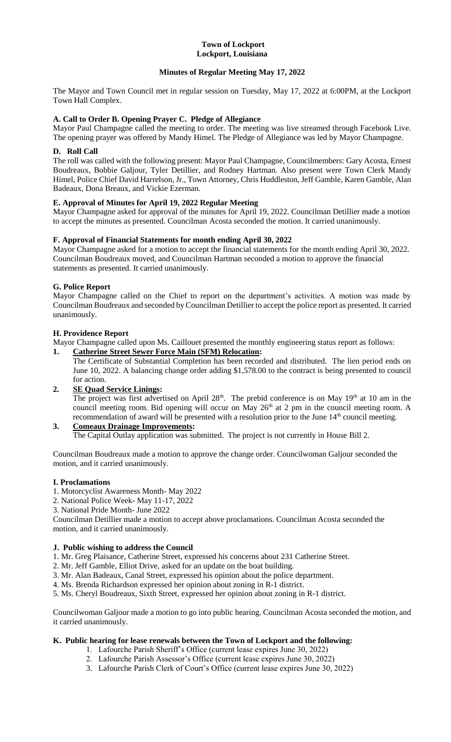#### **Town of Lockport Lockport, Louisiana**

## **Minutes of Regular Meeting May 17, 2022**

The Mayor and Town Council met in regular session on Tuesday, May 17, 2022 at 6:00PM, at the Lockport Town Hall Complex.

## **A. Call to Order B. Opening Prayer C. Pledge of Allegiance**

Mayor Paul Champagne called the meeting to order. The meeting was live streamed through Facebook Live. The opening prayer was offered by Mandy Himel. The Pledge of Allegiance was led by Mayor Champagne.

### **D. Roll Call**

The roll was called with the following present: Mayor Paul Champagne, Councilmembers: Gary Acosta, Ernest Boudreaux, Bobbie Galjour, Tyler Detillier, and Rodney Hartman. Also present were Town Clerk Mandy Himel, Police Chief David Harrelson, Jr., Town Attorney, Chris Huddleston, Jeff Gamble, Karen Gamble, Alan Badeaux, Dona Breaux, and Vickie Ezerman.

### **E. Approval of Minutes for April 19, 2022 Regular Meeting**

Mayor Champagne asked for approval of the minutes for April 19, 2022. Councilman Detillier made a motion to accept the minutes as presented. Councilman Acosta seconded the motion. It carried unanimously.

### **F. Approval of Financial Statements for month ending April 30, 2022**

Mayor Champagne asked for a motion to accept the financial statements for the month ending April 30, 2022. Councilman Boudreaux moved, and Councilman Hartman seconded a motion to approve the financial statements as presented. It carried unanimously.

#### **G. Police Report**

Mayor Champagne called on the Chief to report on the department's activities. A motion was made by Councilman Boudreaux and seconded by Councilman Detillier to accept the police report as presented. It carried unanimously.

#### **H. Providence Report**

Mayor Champagne called upon Ms. Caillouet presented the monthly engineering status report as follows:

- **1. Catherine Street Sewer Force Main (SFM) Relocation:**
	- The Certificate of Substantial Completion has been recorded and distributed. The lien period ends on June 10, 2022. A balancing change order adding \$1,578.00 to the contract is being presented to council for action.

# **2. SE Quad Service Linings:**

The project was first advertised on April 28<sup>th</sup>. The prebid conference is on May 19<sup>th</sup> at 10 am in the council meeting room. Bid opening will occur on May 26<sup>th</sup> at 2 pm in the council meeting room. A recommendation of award will be presented with a resolution prior to the June 14<sup>th</sup> council meeting.

# **3. Comeaux Drainage Improvements:** The Capital Outlay application was submitted. The project is not currently in House Bill 2.

Councilman Boudreaux made a motion to approve the change order. Councilwoman Galjour seconded the motion, and it carried unanimously.

### **I. Proclamations**

- 1. Motorcyclist Awareness Month- May 2022
- 2. National Police Week- May 11-17, 2022
- 3. National Pride Month- June 2022

Councilman Detillier made a motion to accept above proclamations. Councilman Acosta seconded the motion, and it carried unanimously.

## **J. Public wishing to address the Council**

- 1. Mr. Greg Plaisance, Catherine Street, expressed his concerns about 231 Catherine Street.
- 2. Mr. Jeff Gamble, Elliot Drive, asked for an update on the boat building.
- 3. Mr. Alan Badeaux, Canal Street, expressed his opinion about the police department.
- 4. Ms. Brenda Richardson expressed her opinion about zoning in R-1 district.
- 5. Ms. Cheryl Boudreaux, Sixth Street, expressed her opinion about zoning in R-1 district.

Councilwoman Galjour made a motion to go into public hearing. Councilman Acosta seconded the motion, and it carried unanimously.

### **K. Public hearing for lease renewals between the Town of Lockport and the following:**

- 1. Lafourche Parish Sheriff's Office (current lease expires June 30, 2022)
- 2. Lafourche Parish Assessor's Office (current lease expires June 30, 2022)
- 3. Lafourche Parish Clerk of Court's Office (current lease expires June 30, 2022)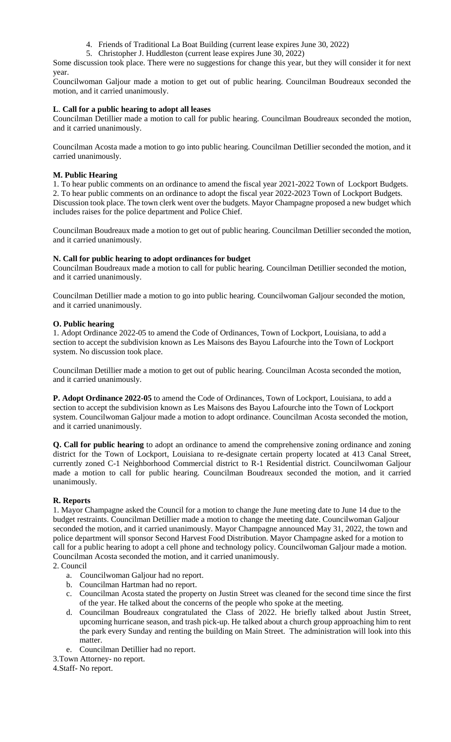- 4. Friends of Traditional La Boat Building (current lease expires June 30, 2022)
- 5. Christopher J. Huddleston (current lease expires June 30, 2022)

Some discussion took place. There were no suggestions for change this year, but they will consider it for next year.

Councilwoman Galjour made a motion to get out of public hearing. Councilman Boudreaux seconded the motion, and it carried unanimously.

## **L**. **Call for a public hearing to adopt all leases**

Councilman Detillier made a motion to call for public hearing. Councilman Boudreaux seconded the motion, and it carried unanimously.

Councilman Acosta made a motion to go into public hearing. Councilman Detillier seconded the motion, and it carried unanimously.

## **M. Public Hearing**

1. To hear public comments on an ordinance to amend the fiscal year 2021-2022 Town of Lockport Budgets. 2. To hear public comments on an ordinance to adopt the fiscal year 2022-2023 Town of Lockport Budgets. Discussion took place. The town clerk went over the budgets. Mayor Champagne proposed a new budget which includes raises for the police department and Police Chief.

Councilman Boudreaux made a motion to get out of public hearing. Councilman Detillier seconded the motion, and it carried unanimously.

## **N. Call for public hearing to adopt ordinances for budget**

Councilman Boudreaux made a motion to call for public hearing. Councilman Detillier seconded the motion, and it carried unanimously.

Councilman Detillier made a motion to go into public hearing. Councilwoman Galjour seconded the motion, and it carried unanimously.

### **O. Public hearing**

1. Adopt Ordinance 2022-05 to amend the Code of Ordinances, Town of Lockport, Louisiana, to add a section to accept the subdivision known as Les Maisons des Bayou Lafourche into the Town of Lockport system. No discussion took place.

Councilman Detillier made a motion to get out of public hearing. Councilman Acosta seconded the motion, and it carried unanimously.

**P. Adopt Ordinance 2022-05** to amend the Code of Ordinances, Town of Lockport, Louisiana, to add a section to accept the subdivision known as Les Maisons des Bayou Lafourche into the Town of Lockport system. Councilwoman Galjour made a motion to adopt ordinance. Councilman Acosta seconded the motion, and it carried unanimously.

**Q. Call for public hearing** to adopt an ordinance to amend the comprehensive zoning ordinance and zoning district for the Town of Lockport, Louisiana to re-designate certain property located at 413 Canal Street, currently zoned C-1 Neighborhood Commercial district to R-1 Residential district. Councilwoman Galjour made a motion to call for public hearing. Councilman Boudreaux seconded the motion, and it carried unanimously.

# **R. Reports**

1. Mayor Champagne asked the Council for a motion to change the June meeting date to June 14 due to the budget restraints. Councilman Detillier made a motion to change the meeting date. Councilwoman Galjour seconded the motion, and it carried unanimously. Mayor Champagne announced May 31, 2022, the town and police department will sponsor Second Harvest Food Distribution. Mayor Champagne asked for a motion to call for a public hearing to adopt a cell phone and technology policy. Councilwoman Galjour made a motion. Councilman Acosta seconded the motion, and it carried unanimously.

### 2. Council

- a. Councilwoman Galjour had no report.
- b. Councilman Hartman had no report.
- c. Councilman Acosta stated the property on Justin Street was cleaned for the second time since the first of the year. He talked about the concerns of the people who spoke at the meeting.
- d. Councilman Boudreaux congratulated the Class of 2022. He briefly talked about Justin Street, upcoming hurricane season, and trash pick-up. He talked about a church group approaching him to rent the park every Sunday and renting the building on Main Street. The administration will look into this matter.
- e. Councilman Detillier had no report.
- 3.Town Attorney- no report.

4.Staff- No report.